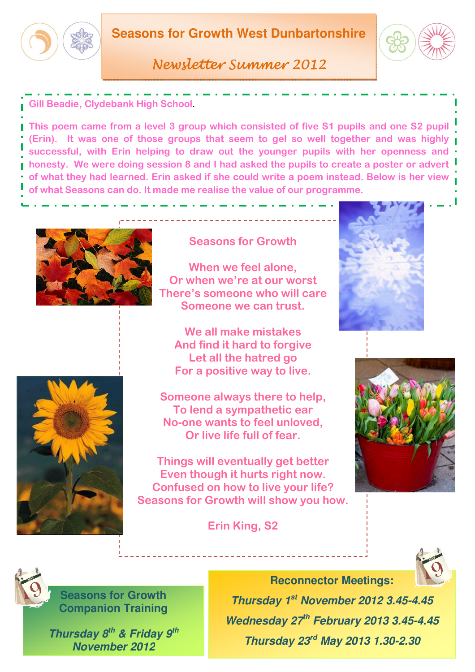

Newsletter Summer 2012

Gill Beadie, Clydebank High School.

This poem came from a level 3 group which consisted of five S1 pupils and one S2 pupil (Erin). It was one of those groups that seem to gel so well together and was highly successful, with Erin helping to draw out the younger pupils with her openness and **honesty. We were doing session 8 and I had asked the pupils to create a poster or advert** of what they had learned. Erin asked if she could write a poem instead. Below is her view of what Seasons can do. It made me realise the value of our programme.





Seasons for Growth

When we feel alone, Or when we're at our worst There's someone who will care Someone we can trust.

We all make mistakes And find it hard to forgive Let all the hatred go For a positive way to live.

Someone always there to help, To lend a sympathetic ear No-one wants to feel unloved, Or live life full of fear.

Things will eventually get better Even though it hurts right now. Confused on how to live your life? Seasons for Growth will show you how.

Erin King, S2







**Seasons for Growth Companion Training** 

**Thursday 8th & Friday 9th November 2012**



**Reconnector Meetings: Thursday 1st November 2012 3.45-4.45 Wednesday 27th February 2013 3.45-4.45** 

**Thursday 23rd May 2013 1.30-2.30**